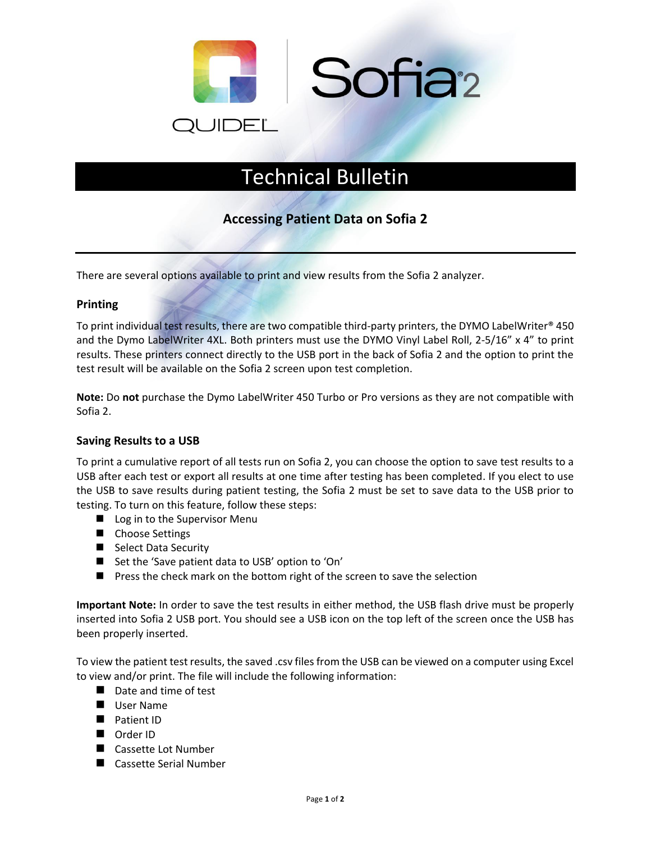

## Technical Bulletin

## **Accessing Patient Data on Sofia 2**

There are several options available to print and view results from the Sofia 2 analyzer.

## **Printing**

To print individual test results, there are two compatible third-party printers, the DYMO LabelWriter® 450 and the Dymo LabelWriter 4XL. Both printers must use the DYMO Vinyl Label Roll, 2-5/16" x 4" to print results. These printers connect directly to the USB port in the back of Sofia 2 and the option to print the test result will be available on the Sofia 2 screen upon test completion.

**Note:** Do **not** purchase the Dymo LabelWriter 450 Turbo or Pro versions as they are not compatible with Sofia 2.

## **Saving Results to a USB**

To print a cumulative report of all tests run on Sofia 2, you can choose the option to save test results to a USB after each test or export all results at one time after testing has been completed. If you elect to use the USB to save results during patient testing, the Sofia 2 must be set to save data to the USB prior to testing. To turn on this feature, follow these steps:

- Log in to the Supervisor Menu
- Choose Settings
- Select Data Security
- Set the 'Save patient data to USB' option to 'On'
- Press the check mark on the bottom right of the screen to save the selection

**Important Note:** In order to save the test results in either method, the USB flash drive must be properly inserted into Sofia 2 USB port. You should see a USB icon on the top left of the screen once the USB has been properly inserted.

To view the patient test results, the saved .csv files from the USB can be viewed on a computer using Excel to view and/or print. The file will include the following information:

- Date and time of test
- User Name
- Patient ID
- Order ID
- Cassette Lot Number
- Cassette Serial Number